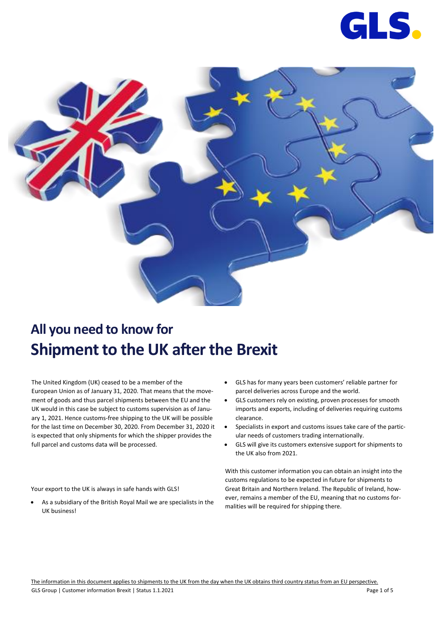



# **All you need to know for Shipment to the UK after the Brexit**

The United Kingdom (UK) ceased to be a member of the European Union as of January 31, 2020. That means that the movement of goods and thus parcel shipments between the EU and the UK would in this case be subject to customs supervision as of January 1, 2021. Hence customs-free shipping to the UK will be possible for the last time on December 30, 2020. From December 31, 2020 it is expected that only shipments for which the shipper provides the full parcel and customs data will be processed.

• GLS has for many years been customers' reliable partner for parcel deliveries across Europe and the world.

- GLS customers rely on existing, proven processes for smooth imports and exports, including of deliveries requiring customs clearance.
- Specialists in export and customs issues take care of the particular needs of customers trading internationally.
- GLS will give its customers extensive support for shipments to the UK also from 2021.

With this customer information you can obtain an insight into the customs regulations to be expected in future for shipments to Great Britain and Northern Ireland. The Republic of Ireland, however, remains a member of the EU, meaning that no customs formalities will be required for shipping there.

Your export to the UK is always in safe hands with GLS!

• As a subsidiary of the British Royal Mail we are specialists in the UK business!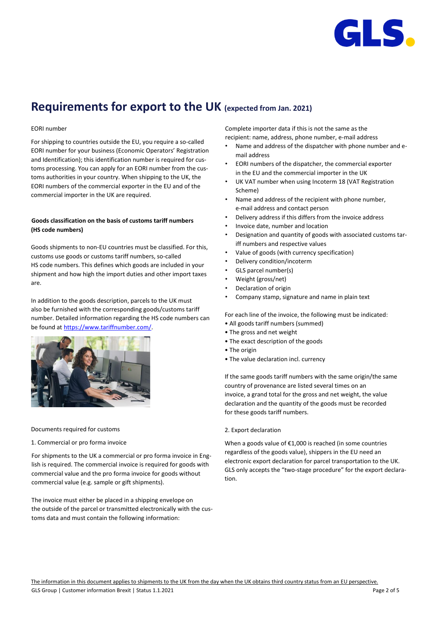

### **Requirements for export to the UK (expected from Jan. 2021)**

#### EORI number

For shipping to countries outside the EU, you require a so-called EORI number for your business (Economic Operators' Registration and Identification); this identification number is required for customs processing. You can apply for an EORI number from the customs authorities in your country. When shipping to the UK, the EORI numbers of the commercial exporter in the EU and of the commercial importer in the UK are required.

#### **Goods classification on the basis of customs tariff numbers (HS code numbers)**

Goods shipments to non-EU countries must be classified. For this, customs use goods or customs tariff numbers, so-called HS code numbers. This defines which goods are included in your shipment and how high the import duties and other import taxes are.

In addition to the goods description, parcels to the UK must also be furnished with the corresponding goods/customs tariff number. Detailed information regarding the HS code numbers can be found a[t https://www.tariffnumber.com/.](https://www.tariffnumber.com/)



#### Documents required for customs

#### 1. Commercial or pro forma invoice

For shipments to the UK a commercial or pro forma invoice in English is required. The commercial invoice is required for goods with commercial value and the pro forma invoice for goods without commercial value (e.g. sample or gift shipments).

The invoice must either be placed in a shipping envelope on the outside of the parcel or transmitted electronically with the customs data and must contain the following information:

Complete importer data if this is not the same as the recipient: name, address, phone number, e-mail address

- Name and address of the dispatcher with phone number and email address
- EORI numbers of the dispatcher, the commercial exporter in the EU and the commercial importer in the UK
- UK VAT number when using Incoterm 18 (VAT Registration Scheme)
- Name and address of the recipient with phone number, e-mail address and contact person
- Delivery address if this differs from the invoice address
- Invoice date, number and location
- Designation and quantity of goods with associated customs tariff numbers and respective values
- Value of goods (with currency specification)
- Delivery condition/incoterm
- GLS parcel number(s)
- Weight (gross/net)
- Declaration of origin
- Company stamp, signature and name in plain text

For each line of the invoice, the following must be indicated:

- All goods tariff numbers (summed)
- The gross and net weight
- The exact description of the goods
- The origin
- The value declaration incl. currency

If the same goods tariff numbers with the same origin/the same country of provenance are listed several times on an invoice, a grand total for the gross and net weight, the value declaration and the quantity of the goods must be recorded for these goods tariff numbers.

#### 2. Export declaration

When a goods value of €1,000 is reached (in some countries regardless of the goods value), shippers in the EU need an electronic export declaration for parcel transportation to the UK. GLS only accepts the "two-stage procedure" for the export declaration.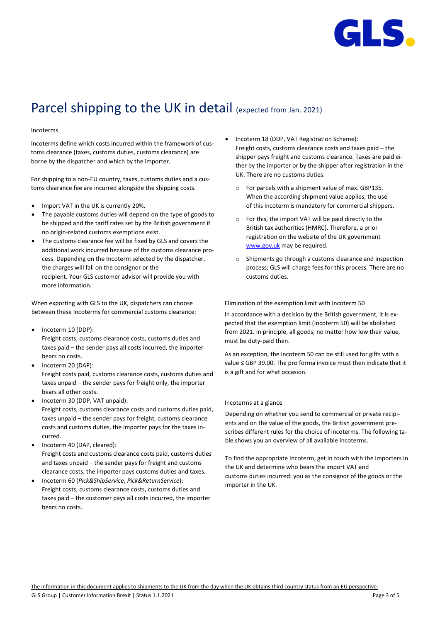

# Parcel shipping to the UK in detail (expected from Jan. 2021)

#### Incoterms

Incoterms define which costs incurred within the framework of customs clearance (taxes, customs duties, customs clearance) are borne by the dispatcher and which by the importer.

For shipping to a non-EU country, taxes, customs duties and a customs clearance fee are incurred alongside the shipping costs.

- Import VAT in the UK is currently 20%.
- The payable customs duties will depend on the type of goods to be shipped and the tariff rates set by the British government if no origin-related customs exemptions exist.
- The customs clearance fee will be fixed by GLS and covers the additional work incurred because of the customs clearance process. Depending on the Incoterm selected by the dispatcher, the charges will fall on the consignor or the recipient. Your GLS customer advisor will provide you with more information.

When exporting with GLS to the UK, dispatchers can choose between these Incoterms for commercial customs clearance:

- Incoterm 10 (DDP): Freight costs, customs clearance costs, customs duties and taxes paid – the sender pays all costs incurred, the importer bears no costs.
- Incoterm 20 (DAP): Freight costs paid, customs clearance costs, customs duties and taxes unpaid – the sender pays for freight only, the importer bears all other costs.
- Incoterm 30 (DDP, VAT unpaid): Freight costs, customs clearance costs and customs duties paid, taxes unpaid – the sender pays for freight, customs clearance costs and customs duties, the importer pays for the taxes incurred.
- Incoterm 40 (DAP, cleared): Freight costs and customs clearance costs paid, customs duties and taxes unpaid – the sender pays for freight and customs clearance costs, the importer pays customs duties and taxes.
- Incoterm 60 (*Pick&ShipService*, *Pick&ReturnService*): Freight costs, customs clearance costs, customs duties and taxes paid – the customer pays all costs incurred, the importer bears no costs.
- Incoterm 18 (DDP, VAT Registration Scheme): Freight costs, customs clearance costs and taxes paid – the shipper pays freight and customs clearance. Taxes are paid either by the importer or by the shipper after registration in the UK. There are no customs duties.
	- o For parcels with a shipment value of max. GBP135. When the according shipment value applies, the use of this incoterm is mandatory for commercial shippers.
	- o For this, the import VAT will be paid directly to the British tax authorities (HMRC). Therefore, a prior registration on the website of the UK government [www.gov.uk](http://www.gov.uk/) may be required.
	- o Shipments go through a customs clearance and inspection process; GLS will charge fees for this process. There are no customs duties.

Elimination of the exemption limit with Incoterm 50

In accordance with a decision by the British government, it is expected that the exemption limit (Incoterm 50) will be abolished from 2021. In principle, all goods, no matter how low their value, must be duty-paid then.

As an exception, the incoterm 50 can be still used for gifts with a value ≤ GBP 39.00. The pro forma invoice must then indicate that it is a gift and for what occasion.

#### Incoterms at a glance

Depending on whether you send to commercial or private recipients and on the value of the goods, the British government prescribes different rules for the choice of incoterms. The following table shows you an overview of all available incoterms.

To find the appropriate Incoterm, get in touch with the importers in the UK and determine who bears the import VAT and customs duties incurred: you as the consignor of the goods or the importer in the UK.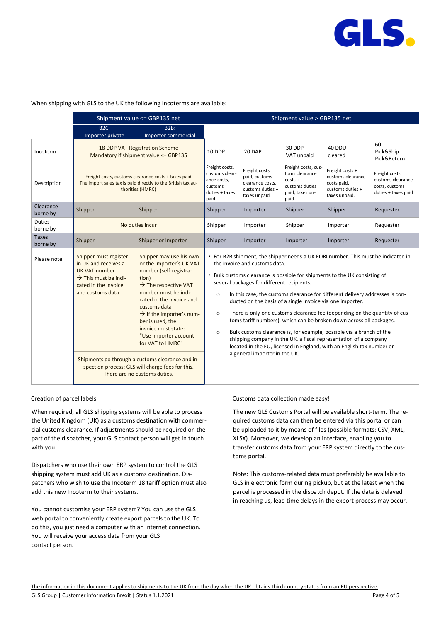

#### When shipping with GLS to the UK the following Incoterms are available:

|                           | Shipment value <= GBP135 net                                                                                                                          |                                                                                                                                                                                                                                                                                                                                                                                                                                                                        | Shipment value > GBP135 net                                                                                                                                                                                                                                                                                                                                                                                                                                                                                                                                                                                                                                                                                                                                                                                                         |                                                                                        |                                                                                                 |                                                                                          |                                                                              |
|---------------------------|-------------------------------------------------------------------------------------------------------------------------------------------------------|------------------------------------------------------------------------------------------------------------------------------------------------------------------------------------------------------------------------------------------------------------------------------------------------------------------------------------------------------------------------------------------------------------------------------------------------------------------------|-------------------------------------------------------------------------------------------------------------------------------------------------------------------------------------------------------------------------------------------------------------------------------------------------------------------------------------------------------------------------------------------------------------------------------------------------------------------------------------------------------------------------------------------------------------------------------------------------------------------------------------------------------------------------------------------------------------------------------------------------------------------------------------------------------------------------------------|----------------------------------------------------------------------------------------|-------------------------------------------------------------------------------------------------|------------------------------------------------------------------------------------------|------------------------------------------------------------------------------|
|                           | B2C:<br>Importer private                                                                                                                              | <b>B2B:</b><br>Importer commercial                                                                                                                                                                                                                                                                                                                                                                                                                                     |                                                                                                                                                                                                                                                                                                                                                                                                                                                                                                                                                                                                                                                                                                                                                                                                                                     |                                                                                        |                                                                                                 |                                                                                          |                                                                              |
| Incoterm                  | 18 DDP VAT Registration Scheme<br>Mandatory if shipment value <= GBP135                                                                               |                                                                                                                                                                                                                                                                                                                                                                                                                                                                        | 10 DDP                                                                                                                                                                                                                                                                                                                                                                                                                                                                                                                                                                                                                                                                                                                                                                                                                              | 20 DAP                                                                                 | 30 DDP<br>VAT unpaid                                                                            | 40 DDU<br>cleared                                                                        | 60<br>Pick&Ship<br>Pick&Return                                               |
| Description               | Freight costs, customs clearance costs + taxes paid<br>The import sales tax is paid directly to the British tax au-<br>thorities (HMRC)               |                                                                                                                                                                                                                                                                                                                                                                                                                                                                        | Freight costs,<br>customs clear-<br>ance costs,<br>customs<br>duties + taxes<br>paid                                                                                                                                                                                                                                                                                                                                                                                                                                                                                                                                                                                                                                                                                                                                                | Freight costs<br>paid, customs<br>clearance costs.<br>customs duties +<br>taxes unpaid | Freight costs, cus-<br>toms clearance<br>$costs +$<br>customs duties<br>paid, taxes un-<br>paid | Freight costs +<br>customs clearance<br>costs paid,<br>customs duties +<br>taxes unpaid. | Freight costs,<br>customs clearance<br>costs, customs<br>duties + taxes paid |
| Clearance<br>borne by     | Shipper                                                                                                                                               | Shipper                                                                                                                                                                                                                                                                                                                                                                                                                                                                | Shipper                                                                                                                                                                                                                                                                                                                                                                                                                                                                                                                                                                                                                                                                                                                                                                                                                             | Importer                                                                               | Shipper                                                                                         | Shipper                                                                                  | Requester                                                                    |
| <b>Duties</b><br>borne by | No duties incur                                                                                                                                       |                                                                                                                                                                                                                                                                                                                                                                                                                                                                        | Shipper                                                                                                                                                                                                                                                                                                                                                                                                                                                                                                                                                                                                                                                                                                                                                                                                                             | Importer                                                                               | Shipper                                                                                         | Importer                                                                                 | Requester                                                                    |
| Taxes<br>borne by         | Shipper                                                                                                                                               | Shipper or Importer                                                                                                                                                                                                                                                                                                                                                                                                                                                    | Shipper                                                                                                                                                                                                                                                                                                                                                                                                                                                                                                                                                                                                                                                                                                                                                                                                                             | Importer                                                                               | Importer                                                                                        | Importer                                                                                 | Requester                                                                    |
| Please note               | Shipper must register<br>in UK and receives a<br><b>UK VAT number</b><br>$\rightarrow$ This must be indi-<br>cated in the invoice<br>and customs data | Shipper may use his own<br>or the importer's UK VAT<br>number (self-registra-<br>tion)<br>$\rightarrow$ The respective VAT<br>number must be indi-<br>cated in the invoice and<br>customs data<br>$\rightarrow$ If the importer's num-<br>ber is used, the<br>invoice must state:<br>"Use importer account<br>for VAT to HMRC"<br>Shipments go through a customs clearance and in-<br>spection process; GLS will charge fees for this.<br>There are no customs duties. | For B2B shipment, the shipper needs a UK EORI number. This must be indicated in<br>the invoice and customs data.<br>Bulk customs clearance is possible for shipments to the UK consisting of<br>several packages for different recipients.<br>In this case, the customs clearance for different delivery addresses is con-<br>$\circ$<br>ducted on the basis of a single invoice via one importer.<br>There is only one customs clearance fee (depending on the quantity of cus-<br>$\circ$<br>toms tariff numbers), which can be broken down across all packages.<br>Bulk customs clearance is, for example, possible via a branch of the<br>$\circ$<br>shipping company in the UK, a fiscal representation of a company<br>located in the EU, licensed in England, with an English tax number or<br>a general importer in the UK. |                                                                                        |                                                                                                 |                                                                                          |                                                                              |

#### Creation of parcel labels

When required, all GLS shipping systems will be able to process the United Kingdom (UK) as a customs destination with commercial customs clearance. If adjustments should be required on the part of the dispatcher, your GLS contact person will get in touch with you.

Dispatchers who use their own ERP system to control the GLS shipping system must add UK as a customs destination. Dispatchers who wish to use the Incoterm 18 tariff option must also add this new Incoterm to their systems.

You cannot customise your ERP system? You can use the GLS web portal to conveniently create export parcels to the UK. To do this, you just need a computer with an Internet connection. You will receive your access data from your GLS contact person.

Customs data collection made easy!

The new GLS Customs Portal will be available short-term. The required customs data can then be entered via this portal or can be uploaded to it by means of files (possible formats: CSV, XML, XLSX). Moreover, we develop an interface, enabling you to transfer customs data from your ERP system directly to the customs portal.

Note: This customs-related data must preferably be available to GLS in electronic form during pickup, but at the latest when the parcel is processed in the dispatch depot. If the data is delayed in reaching us, lead time delays in the export process may occur.